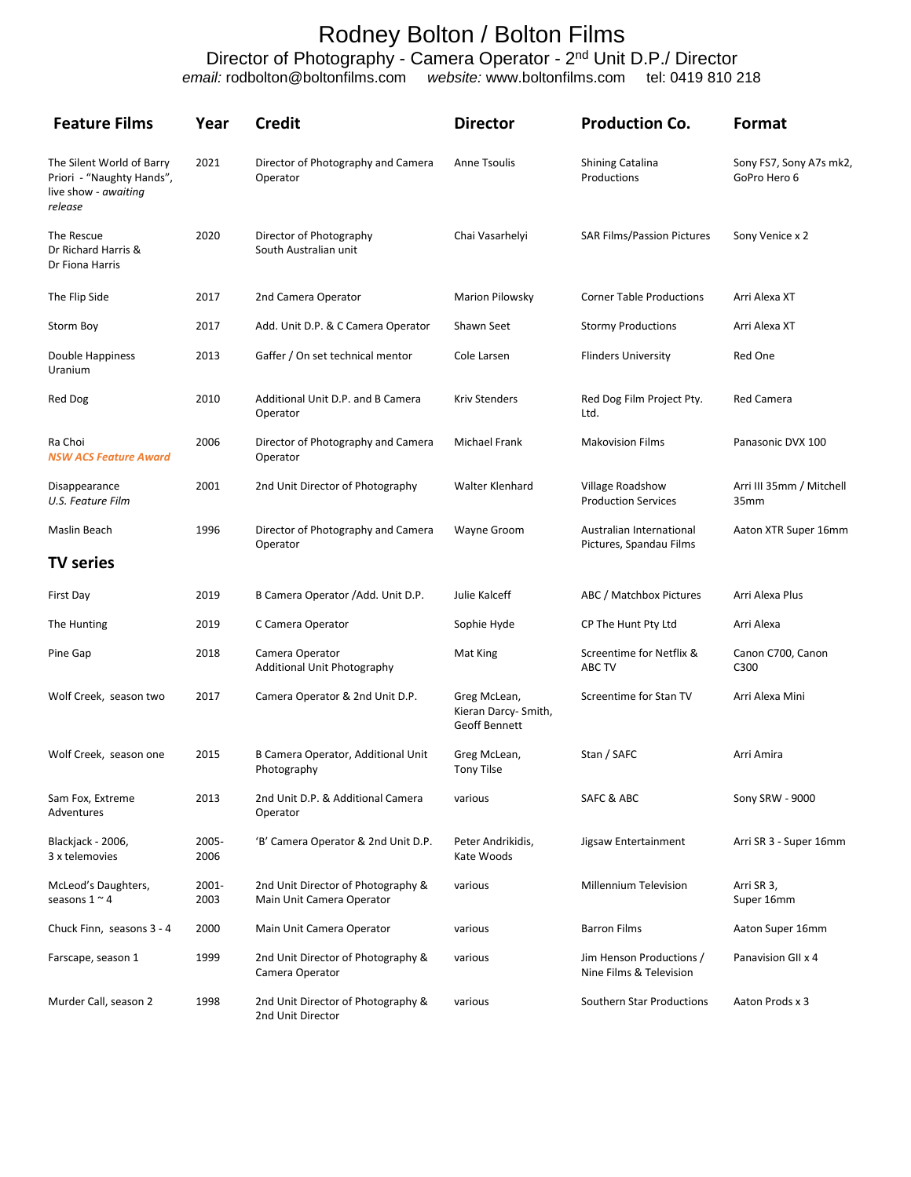## Rodney Bolton / Bolton Films

Director of Photography - Camera Operator - 2<sup>nd</sup> Unit D.P./ Director

*email:* [rodbolton@boltonfilms.com](mailto:rodbolton@boltonfilms.com) *website:* [www.boltonfilms.com](http://www.boltonfilms.com/) tel: 0419 810 218

| <b>Feature Films</b>                                                                      | Year          | <b>Credit</b>                                                   | <b>Director</b>                                       | <b>Production Co.</b>                               | Format                                  |
|-------------------------------------------------------------------------------------------|---------------|-----------------------------------------------------------------|-------------------------------------------------------|-----------------------------------------------------|-----------------------------------------|
| The Silent World of Barry<br>Priori - "Naughty Hands",<br>live show - awaiting<br>release | 2021          | Director of Photography and Camera<br>Operator                  | <b>Anne Tsoulis</b>                                   | <b>Shining Catalina</b><br>Productions              | Sony FS7, Sony A7s mk2,<br>GoPro Hero 6 |
| The Rescue<br>Dr Richard Harris &<br>Dr Fiona Harris                                      | 2020          | Director of Photography<br>South Australian unit                | Chai Vasarhelyi                                       | <b>SAR Films/Passion Pictures</b>                   | Sony Venice x 2                         |
| The Flip Side                                                                             | 2017          | 2nd Camera Operator                                             | <b>Marion Pilowsky</b>                                | <b>Corner Table Productions</b>                     | Arri Alexa XT                           |
| Storm Boy                                                                                 | 2017          | Add. Unit D.P. & C Camera Operator                              | Shawn Seet                                            | <b>Stormy Productions</b>                           | Arri Alexa XT                           |
| Double Happiness<br>Uranium                                                               | 2013          | Gaffer / On set technical mentor                                | Cole Larsen                                           | <b>Flinders University</b>                          | Red One                                 |
| Red Dog                                                                                   | 2010          | Additional Unit D.P. and B Camera<br>Operator                   | <b>Kriv Stenders</b>                                  | Red Dog Film Project Pty.<br>Ltd.                   | Red Camera                              |
| Ra Choi<br><b>NSW ACS Feature Award</b>                                                   | 2006          | Director of Photography and Camera<br>Operator                  | Michael Frank                                         | <b>Makovision Films</b>                             | Panasonic DVX 100                       |
| Disappearance<br>U.S. Feature Film                                                        | 2001          | 2nd Unit Director of Photography                                | Walter Klenhard                                       | Village Roadshow<br><b>Production Services</b>      | Arri III 35mm / Mitchell<br>35mm        |
| Maslin Beach                                                                              | 1996          | Director of Photography and Camera<br>Operator                  | Wayne Groom                                           | Australian International<br>Pictures, Spandau Films | Aaton XTR Super 16mm                    |
| <b>TV series</b>                                                                          |               |                                                                 |                                                       |                                                     |                                         |
| First Day                                                                                 | 2019          | B Camera Operator / Add. Unit D.P.                              | Julie Kalceff                                         | ABC / Matchbox Pictures                             | Arri Alexa Plus                         |
| The Hunting                                                                               | 2019          | C Camera Operator                                               | Sophie Hyde                                           | CP The Hunt Pty Ltd                                 | Arri Alexa                              |
| Pine Gap                                                                                  | 2018          | Camera Operator<br>Additional Unit Photography                  | Mat King                                              | Screentime for Netflix &<br>ABC TV                  | Canon C700, Canon<br>C300               |
| Wolf Creek, season two                                                                    | 2017          | Camera Operator & 2nd Unit D.P.                                 | Greg McLean,<br>Kieran Darcy- Smith,<br>Geoff Bennett | Screentime for Stan TV                              | Arri Alexa Mini                         |
| Wolf Creek, season one                                                                    | 2015          | B Camera Operator, Additional Unit<br>Photography               | Greg McLean,<br><b>Tony Tilse</b>                     | Stan / SAFC                                         | Arri Amira                              |
| Sam Fox, Extreme<br>Adventures                                                            | 2013          | 2nd Unit D.P. & Additional Camera<br>Operator                   | various                                               | SAFC & ABC                                          | Sony SRW - 9000                         |
| Blackjack - 2006,<br>3 x telemovies                                                       | 2005-<br>2006 | 'B' Camera Operator & 2nd Unit D.P.                             | Peter Andrikidis,<br>Kate Woods                       | Jigsaw Entertainment                                | Arri SR 3 - Super 16mm                  |
| McLeod's Daughters,<br>seasons $1 \approx 4$                                              | 2001-<br>2003 | 2nd Unit Director of Photography &<br>Main Unit Camera Operator | various                                               | Millennium Television                               | Arri SR 3,<br>Super 16mm                |
| Chuck Finn, seasons 3 - 4                                                                 | 2000          | Main Unit Camera Operator                                       | various                                               | <b>Barron Films</b>                                 | Aaton Super 16mm                        |
| Farscape, season 1                                                                        | 1999          | 2nd Unit Director of Photography &<br>Camera Operator           | various                                               | Jim Henson Productions /<br>Nine Films & Television | Panavision GII x 4                      |
| Murder Call, season 2                                                                     | 1998          | 2nd Unit Director of Photography &<br>2nd Unit Director         | various                                               | Southern Star Productions                           | Aaton Prods x 3                         |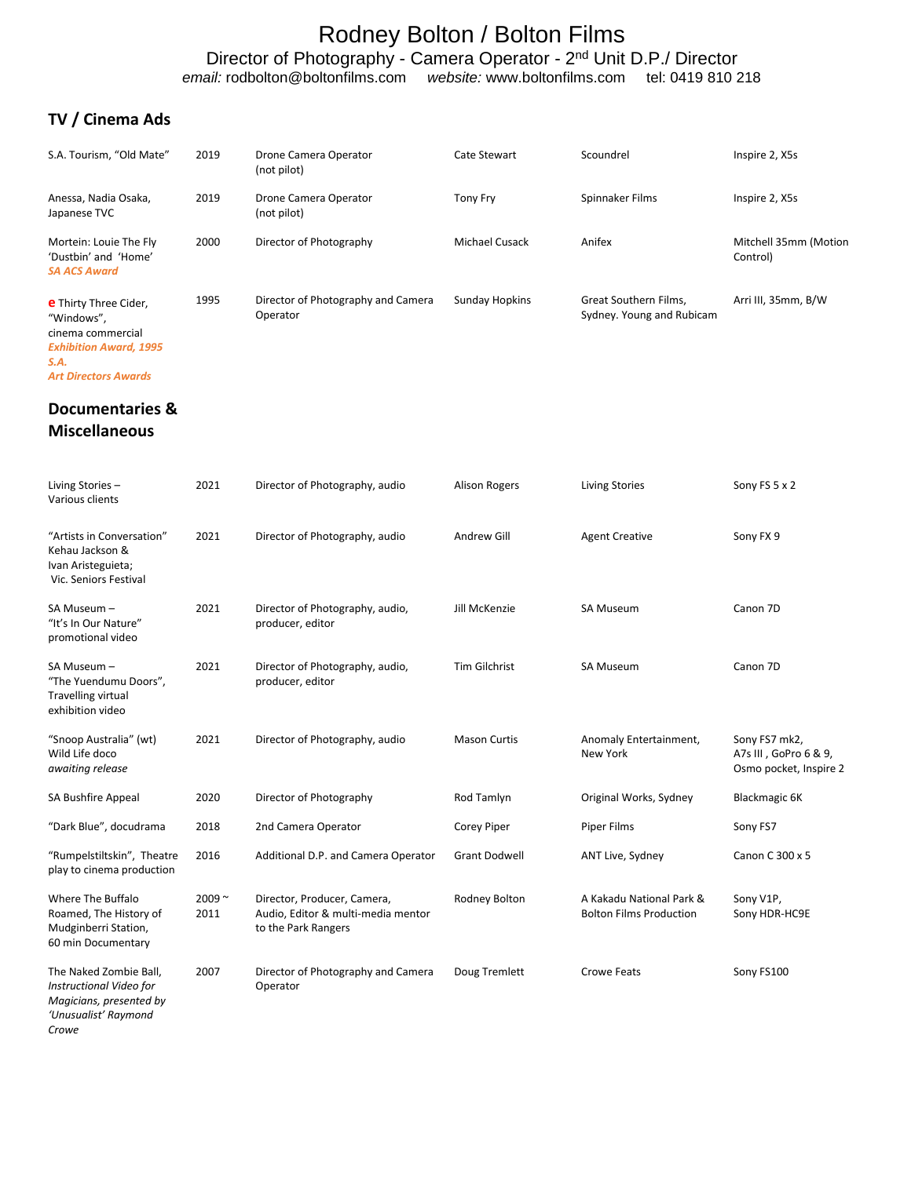# Rodney Bolton / Bolton Films

Director of Photography - Camera Operator - 2<sup>nd</sup> Unit D.P./ Director *email:* [rodbolton@boltonfilms.com](mailto:rodbolton@boltonfilms.com) *website:* [www.boltonfilms.com](http://www.boltonfilms.com/) tel: 0419 810 218

### **TV / Cinema Ads**

| S.A. Tourism, "Old Mate"                                                                                                                | 2019 | Drone Camera Operator<br>(not pilot)           | Cate Stewart   | Scoundrel                                          | Inspire 2, X5s                    |
|-----------------------------------------------------------------------------------------------------------------------------------------|------|------------------------------------------------|----------------|----------------------------------------------------|-----------------------------------|
| Anessa, Nadia Osaka,<br>Japanese TVC                                                                                                    | 2019 | Drone Camera Operator<br>(not pilot)           | Tony Fry       | Spinnaker Films                                    | Inspire 2, X5s                    |
| Mortein: Louie The Fly<br>'Dustbin' and 'Home'<br><b>SA ACS Award</b>                                                                   | 2000 | Director of Photography                        | Michael Cusack | Anifex                                             | Mitchell 35mm (Motion<br>Control) |
| <b>e</b> Thirty Three Cider,<br>"Windows",<br>cinema commercial<br><b>Exhibition Award, 1995</b><br>S.A.<br><b>Art Directors Awards</b> | 1995 | Director of Photography and Camera<br>Operator | Sunday Hopkins | Great Southern Films,<br>Sydney. Young and Rubicam | Arri III, 35mm, B/W               |
| Documentaries &                                                                                                                         |      |                                                |                |                                                    |                                   |

### **Miscellaneous**

| Living Stories-<br>Various clients                                                                            | 2021             | Director of Photography, audio                                                           | <b>Alison Rogers</b> | <b>Living Stories</b>                                      | Sony FS 5 x 2                                                    |
|---------------------------------------------------------------------------------------------------------------|------------------|------------------------------------------------------------------------------------------|----------------------|------------------------------------------------------------|------------------------------------------------------------------|
| "Artists in Conversation"<br>Kehau Jackson &<br>Ivan Aristeguieta;<br>Vic. Seniors Festival                   | 2021             | Director of Photography, audio                                                           | Andrew Gill          | <b>Agent Creative</b>                                      | Sony FX 9                                                        |
| SA Museum -<br>"It's In Our Nature"<br>promotional video                                                      | 2021             | Director of Photography, audio,<br>producer, editor                                      | Jill McKenzie        | <b>SA Museum</b>                                           | Canon 7D                                                         |
| SA Museum -<br>"The Yuendumu Doors",<br><b>Travelling virtual</b><br>exhibition video                         | 2021             | Director of Photography, audio,<br>producer, editor                                      | <b>Tim Gilchrist</b> | <b>SA Museum</b>                                           | Canon 7D                                                         |
| "Snoop Australia" (wt)<br>Wild Life doco<br>awaiting release                                                  | 2021             | Director of Photography, audio                                                           | <b>Mason Curtis</b>  | Anomaly Entertainment,<br>New York                         | Sony FS7 mk2,<br>A7s III, GoPro 6 & 9,<br>Osmo pocket, Inspire 2 |
| SA Bushfire Appeal                                                                                            | 2020             | Director of Photography                                                                  | Rod Tamlyn           | Original Works, Sydney                                     | <b>Blackmagic 6K</b>                                             |
| "Dark Blue", docudrama                                                                                        | 2018             | 2nd Camera Operator                                                                      | Corey Piper          | Piper Films                                                | Sony FS7                                                         |
| "Rumpelstiltskin", Theatre<br>play to cinema production                                                       | 2016             | Additional D.P. and Camera Operator                                                      | <b>Grant Dodwell</b> | ANT Live, Sydney                                           | Canon C 300 x 5                                                  |
| Where The Buffalo<br>Roamed, The History of<br>Mudginberri Station,<br>60 min Documentary                     | $2009 -$<br>2011 | Director, Producer, Camera,<br>Audio, Editor & multi-media mentor<br>to the Park Rangers | Rodney Bolton        | A Kakadu National Park &<br><b>Bolton Films Production</b> | Sony V1P,<br>Sony HDR-HC9E                                       |
| The Naked Zombie Ball,<br>Instructional Video for<br>Magicians, presented by<br>'Unusualist' Raymond<br>Crowe | 2007             | Director of Photography and Camera<br>Operator                                           | Doug Tremlett        | <b>Crowe Feats</b>                                         | Sony FS100                                                       |